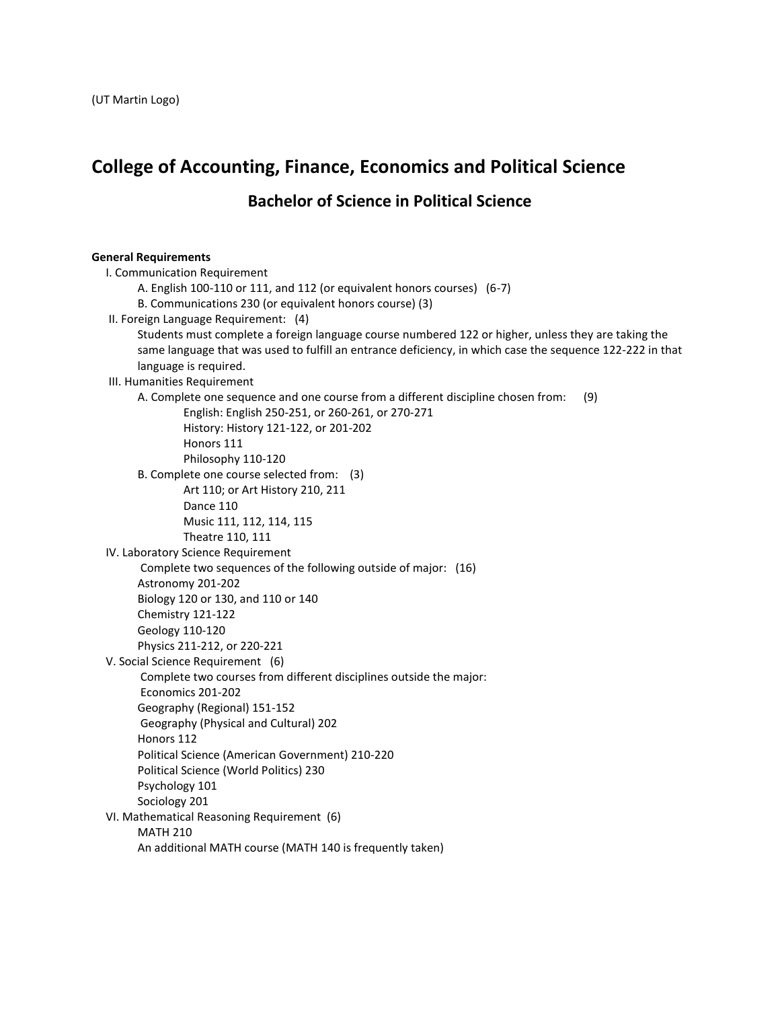# **College of Accounting, Finance, Economics and Political Science**

**Bachelor of Science in Political Science**

## **General Requirements**

| I. Communication Requirement                                                                              |
|-----------------------------------------------------------------------------------------------------------|
| A. English 100-110 or 111, and 112 (or equivalent honors courses) (6-7)                                   |
| B. Communications 230 (or equivalent honors course) (3)                                                   |
| II. Foreign Language Requirement: (4)                                                                     |
| Students must complete a foreign language course numbered 122 or higher, unless they are taking the       |
| same language that was used to fulfill an entrance deficiency, in which case the sequence 122-222 in that |
| language is required.                                                                                     |
| III. Humanities Requirement                                                                               |
| A. Complete one sequence and one course from a different discipline chosen from:<br>(9)                   |
| English: English 250-251, or 260-261, or 270-271                                                          |
| History: History 121-122, or 201-202                                                                      |
| Honors 111                                                                                                |
| Philosophy 110-120                                                                                        |
| B. Complete one course selected from: (3)                                                                 |
| Art 110; or Art History 210, 211                                                                          |
| Dance 110                                                                                                 |
| Music 111, 112, 114, 115                                                                                  |
| Theatre 110, 111                                                                                          |
| IV. Laboratory Science Requirement                                                                        |
| Complete two sequences of the following outside of major: (16)                                            |
| Astronomy 201-202                                                                                         |
| Biology 120 or 130, and 110 or 140                                                                        |
| Chemistry 121-122                                                                                         |
| Geology 110-120                                                                                           |
| Physics 211-212, or 220-221                                                                               |
| V. Social Science Requirement (6)                                                                         |
| Complete two courses from different disciplines outside the major:                                        |
| Economics 201-202                                                                                         |
| Geography (Regional) 151-152                                                                              |
| Geography (Physical and Cultural) 202                                                                     |
| Honors 112                                                                                                |
| Political Science (American Government) 210-220                                                           |
| Political Science (World Politics) 230                                                                    |
| Psychology 101                                                                                            |
| Sociology 201                                                                                             |
| VI. Mathematical Reasoning Requirement (6)                                                                |
| <b>MATH 210</b>                                                                                           |
| An additional MATH course (MATH 140 is frequently taken)                                                  |
|                                                                                                           |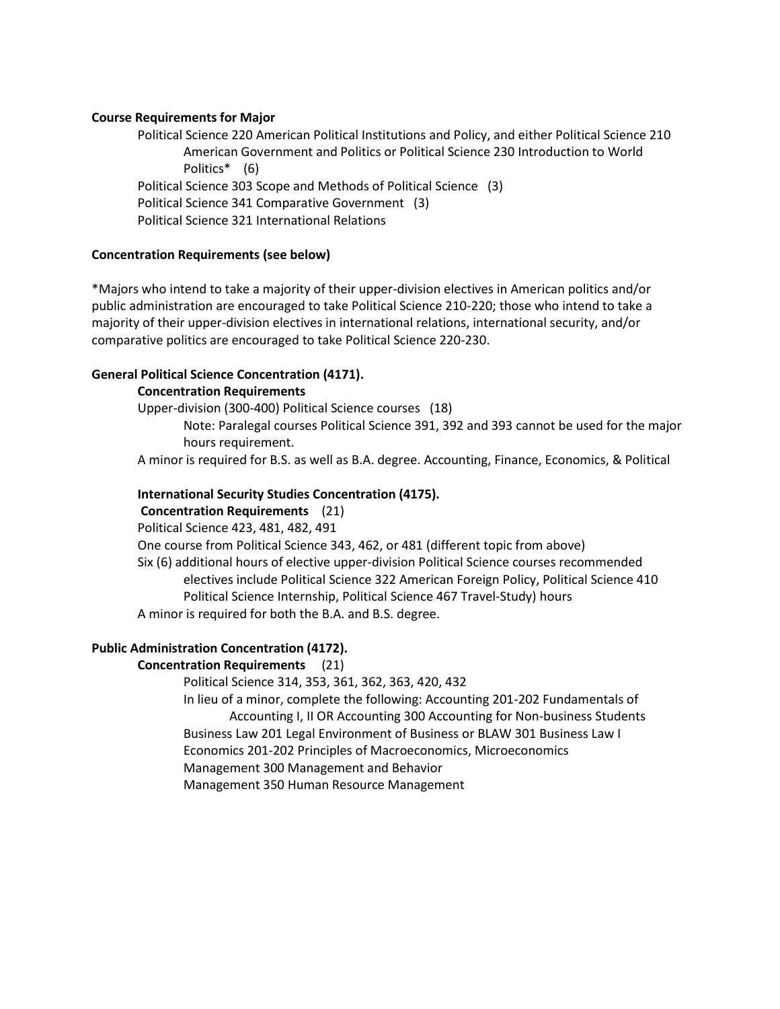## **Course Requirements for Major**

Political Science 220 American Political Institutions and Policy, and either Political Science 210 American Government and Politics or Political Science 230 Introduction to World Politics\* (6) Political Science 303 Scope and Methods of Political Science (3) Political Science 341 Comparative Government (3) Political Science 321 International Relations

## **Concentration Requirements (see below)**

\*Majors who intend to take a majority of their upper-division electives in American politics and/or public administration are encouraged to take Political Science 210-220; those who intend to take a majority of their upper-division electives in international relations, international security, and/or comparative politics are encouraged to take Political Science 220-230.

## **General Political Science Concentration (4171).**

## **Concentration Requirements**

Upper-division (300-400) Political Science courses (18)

Note: Paralegal courses Political Science 391, 392 and 393 cannot be used for the major hours requirement.

A minor is required for B.S. as well as B.A. degree. Accounting, Finance, Economics, & Political

## **International Security Studies Concentration (4175).**

**Concentration Requirements** (21)

Political Science 423, 481, 482, 491

One course from Political Science 343, 462, or 481 (different topic from above)

Six (6) additional hours of elective upper-division Political Science courses recommended electives include Political Science 322 American Foreign Policy, Political Science 410 Political Science Internship, Political Science 467 Travel-Study) hours A minor is required for both the B.A. and B.S. degree.

# **Public Administration Concentration (4172).**

# **Concentration Requirements** (21)

Political Science 314, 353, 361, 362, 363, 420, 432

In lieu of a minor, complete the following: Accounting 201-202 Fundamentals of Accounting I, II OR Accounting 300 Accounting for Non-business Students Business Law 201 Legal Environment of Business or BLAW 301 Business Law I Economics 201-202 Principles of Macroeconomics, Microeconomics Management 300 Management and Behavior Management 350 Human Resource Management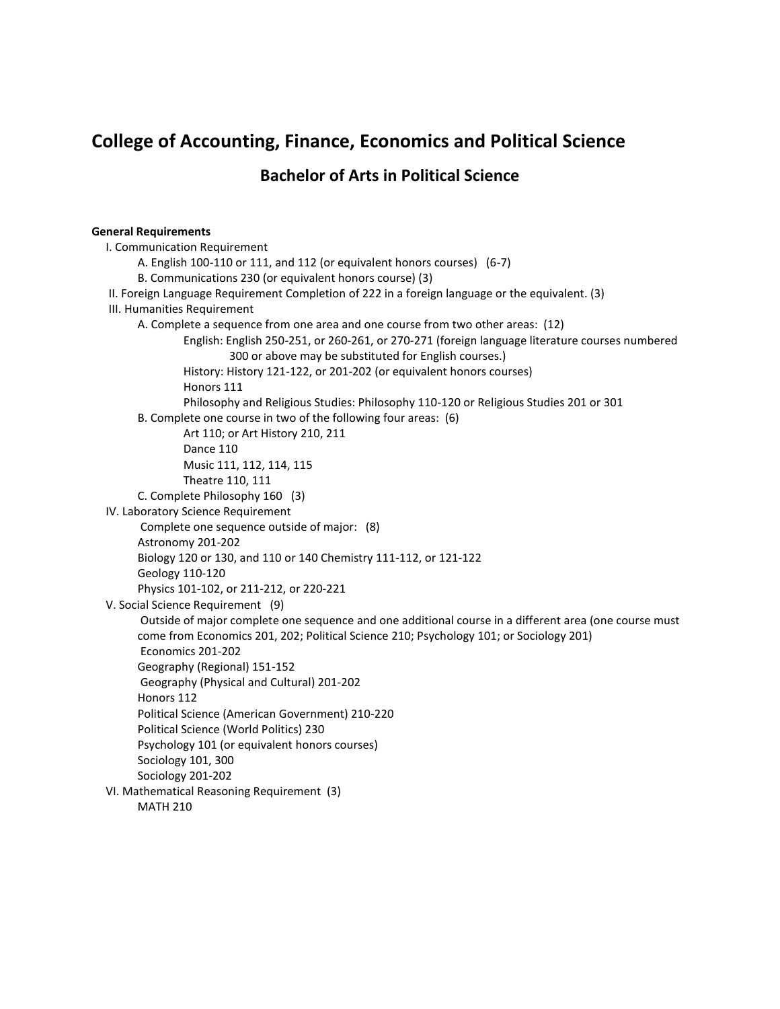# **College of Accounting, Finance, Economics and Political Science Bachelor of Arts in Political Science**

#### **General Requirements**

I. Communication Requirement A. English 100-110 or 111, and 112 (or equivalent honors courses) (6-7) B. Communications 230 (or equivalent honors course) (3) II. Foreign Language Requirement Completion of 222 in a foreign language or the equivalent. (3) III. Humanities Requirement A. Complete a sequence from one area and one course from two other areas: (12) English: English 250-251, or 260-261, or 270-271 (foreign language literature courses numbered 300 or above may be substituted for English courses.) History: History 121-122, or 201-202 (or equivalent honors courses) Honors 111 Philosophy and Religious Studies: Philosophy 110-120 or Religious Studies 201 or 301 B. Complete one course in two of the following four areas: (6) Art 110; or Art History 210, 211 Dance 110 Music 111, 112, 114, 115 Theatre 110, 111 C. Complete Philosophy 160 (3) IV. Laboratory Science Requirement Complete one sequence outside of major: (8) Astronomy 201-202 Biology 120 or 130, and 110 or 140 Chemistry 111-112, or 121-122 Geology 110-120 Physics 101-102, or 211-212, or 220-221 V. Social Science Requirement (9) Outside of major complete one sequence and one additional course in a different area (one course must come from Economics 201, 202; Political Science 210; Psychology 101; or Sociology 201) Economics 201-202 Geography (Regional) 151-152 Geography (Physical and Cultural) 201-202 Honors 112 Political Science (American Government) 210-220 Political Science (World Politics) 230 Psychology 101 (or equivalent honors courses) Sociology 101, 300 Sociology 201-202 VI. Mathematical Reasoning Requirement (3) MATH 210